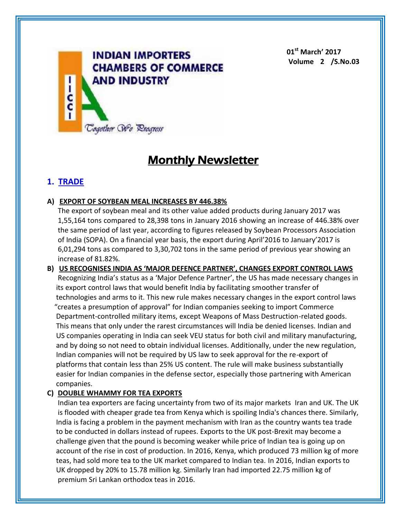

**01st March' 2017 Volume 2 /S.No.03**

# **Monthly Newsletter**

# **1. TRADE**

# **A) EXPORT OF SOYBEAN MEAL INCREASES BY 446.38%**

The export of soybean meal and its other value added products during January 2017 was 1,55,164 tons compared to 28,398 tons in January 2016 showing an increase of 446.38% over the same period of last year, according to figures released by Soybean Processors Association of India (SOPA). On a financial year basis, the export during April'2016 to January'2017 is 6,01,294 tons as compared to 3,30,702 tons in the same period of previous year showing an increase of 81.82%.

**B) US RECOGNISES INDIA AS 'MAJOR DEFENCE PARTNER', CHANGES EXPORT CONTROL LAWS**

Recognizing India's status as a 'Major Defence Partner', the US has made necessary changes in its export control laws that would benefit India by facilitating smoother transfer of technologies and arms to it. This new rule makes necessary changes in the export control laws "creates a presumption of approval" for Indian companies seeking to import Commerce Department-controlled military items, except Weapons of Mass Destruction-related goods. This means that only under the rarest circumstances will India be denied licenses. Indian and US companies operating in India can seek VEU status for both civil and military manufacturing, and by doing so not need to obtain individual licenses. Additionally, under the new regulation, Indian companies will not be required by US law to seek approval for the re-export of platforms that contain less than 25% US content. The rule will make business substantially easier for Indian companies in the defense sector, especially those partnering with American companies.

# **C) DOUBLE WHAMMY FOR TEA EXPORTS**

Indian tea exporters are facing uncertainty from two of its major markets Iran and UK. The UK is flooded with cheaper grade tea from Kenya which is spoiling India's chances there. Similarly, India is facing a problem in the payment mechanism with Iran as the country wants tea trade to be conducted in dollars instead of rupees. Exports to the UK post-Brexit may become a challenge given that the pound is becoming weaker while price of Indian tea is going up on account of the rise in cost of production. In 2016, Kenya, which produced 73 million kg of more teas, had sold more tea to the UK market compared to Indian tea. In 2016, Indian exports to UK dropped by 20% to 15.78 million kg. Similarly Iran had imported 22.75 million kg of premium Sri Lankan orthodox teas in 2016.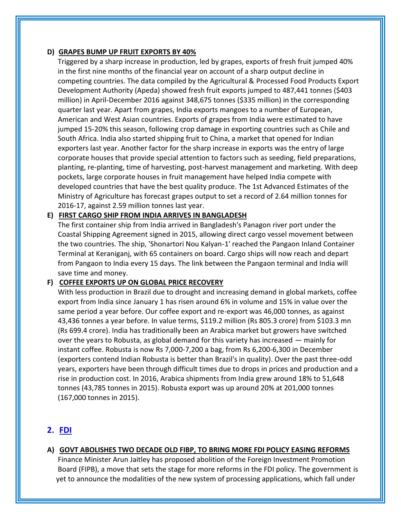#### **D) GRAPES BUMP UP FRUIT EXPORTS BY 40%**

Triggered by a sharp increase in production, led by grapes, exports of fresh fruit jumped 40% in the first nine months of the financial year on account of a sharp output decline in competing countries. The data compiled by the Agricultural & Processed Food Products Export Development Authority (Apeda) showed fresh fruit exports jumped to 487,441 tonnes (\$403 million) in April-December 2016 against 348,675 tonnes (\$335 million) in the corresponding quarter last year. Apart from grapes, India exports mangoes to a number of European, American and West Asian countries. Exports of grapes from India were estimated to have jumped 15-20% this season, following crop damage in exporting countries such as Chile and South Africa. India also started shipping fruit to China, a market that opened for Indian exporters last year. Another factor for the sharp increase in exports was the entry of large corporate houses that provide special attention to factors such as seeding, field preparations, planting, re-planting, time of harvesting, post-harvest management and marketing. With deep pockets, large corporate houses in fruit management have helped India compete with developed countries that have the best quality produce. The 1st Advanced Estimates of the Ministry of Agriculture has forecast grapes output to set a record of 2.64 million tonnes for 2016-17, against 2.59 million tonnes last year.

## **E) FIRST CARGO SHIP FROM INDIA ARRIVES IN BANGLADESH**

The first container ship from India arrived in Bangladesh's Panagon river port under the Coastal Shipping Agreement signed in 2015, allowing direct cargo vessel movement between the two countries. The ship, 'Shonartori Nou Kalyan-1' reached the Pangaon Inland Container Terminal at Keraniganj, with 65 containers on board. Cargo ships will now reach and depart from Pangaon to India every 15 days. The link between the Pangaon terminal and India will save time and money.

#### **F) COFFEE EXPORTS UP ON GLOBAL PRICE RECOVERY**

With less production in Brazil due to drought and increasing demand in global markets, coffee export from India since January 1 has risen around 6% in volume and 15% in value over the same period a year before. Our coffee export and re-export was 46,000 tonnes, as against 43,436 tonnes a year before. In value terms, \$119.2 million (Rs 805.3 crore) from \$103.3 mn (Rs 699.4 crore). India has traditionally been an Arabica market but growers have switched over the years to Robusta, as global demand for this variety has increased — mainly for instant coffee. Robusta is now Rs 7,000-7,200 a bag, from Rs 6,200-6,300 in December (exporters contend Indian Robusta is better than Brazil's in quality). Over the past three-odd years, exporters have been through difficult times due to drops in prices and production and a rise in production cost. In 2016, Arabica shipments from India grew around 18% to 51,648 tonnes (43,785 tonnes in 2015). Robusta export was up around 20% at 201,000 tonnes (167,000 tonnes in 2015).

# **2. FDI**

# **A) GOVT ABOLISHES TWO DECADE OLD FIBP, TO BRING MORE FDI POLICY EASING REFORMS**

Finance Minister Arun Jaitley has proposed abolition of the Foreign Investment Promotion Board (FIPB), a move that sets the stage for more reforms in the FDI policy. The government is yet to announce the modalities of the new system of processing applications, which fall under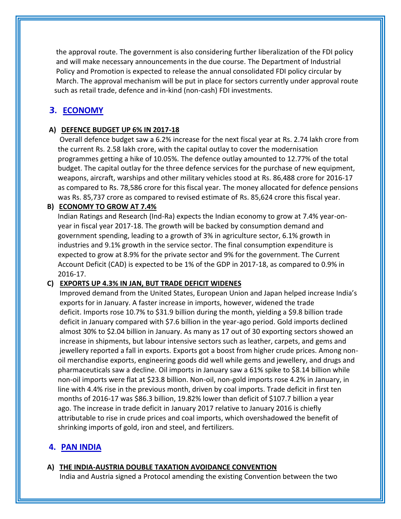the approval route. The government is also considering further liberalization of the FDI policy and will make necessary announcements in the due course. The Department of Industrial Policy and Promotion is expected to release the annual consolidated FDI policy circular by March. The approval mechanism will be put in place for sectors currently under approval route such as retail trade, defence and in-kind (non-cash) FDI investments.

# 3. **ECONOMY**

# **A) DEFENCE BUDGET UP 6% IN 2017-18**

Overall defence budget saw a 6.2% increase for the next fiscal year at Rs. 2.74 lakh crore from the current Rs. 2.58 lakh crore, with the capital outlay to cover the modernisation programmes getting a hike of 10.05%. The defence outlay amounted to 12.77% of the total budget. The capital outlay for the three defence services for the purchase of new equipment, weapons, aircraft, warships and other military vehicles stood at Rs. 86,488 crore for 2016-17 as compared to Rs. 78,586 crore for this fiscal year. The money allocated for defence pensions was Rs. 85,737 crore as compared to revised estimate of Rs. 85,624 crore this fiscal year.

## **B) ECONOMY TO GROW AT 7.4%**

Indian Ratings and Research (Ind-Ra) expects the Indian economy to grow at 7.4% year-onyear in fiscal year 2017-18. The growth will be backed by consumption demand and government spending, leading to a growth of 3% in agriculture sector, 6.1% growth in industries and 9.1% growth in the service sector. The final consumption expenditure is expected to grow at 8.9% for the private sector and 9% for the government. The Current Account Deficit (CAD) is expected to be 1% of the GDP in 2017-18, as compared to 0.9% in 2016-17.

# **C) EXPORTS UP 4.3% IN JAN, BUT TRADE DEFICIT WIDENES**

Improved demand from the United States, European Union and Japan helped increase India's exports for in January. A faster increase in imports, however, widened the trade deficit. Imports rose 10.7% to \$31.9 billion during the month, yielding a \$9.8 billion trade deficit in January compared with \$7.6 billion in the year-ago period. Gold imports declined almost 30% to \$2.04 billion in January. As many as 17 out of 30 exporting sectors showed an increase in shipments, but labour intensive sectors such as leather, carpets, and gems and jewellery reported a fall in exports. Exports got a boost from higher crude prices. Among nonoil merchandise exports, engineering goods did well while gems and jewellery, and drugs and pharmaceuticals saw a decline. Oil imports in January saw a 61% spike to \$8.14 billion while non-oil imports were flat at \$23.8 billion. Non-oil, non-gold imports rose 4.2% in January, in line with 4.4% rise in the previous month, driven by coal imports. Trade deficit in first ten months of 2016-17 was \$86.3 billion, 19.82% lower than deficit of \$107.7 billion a year ago. The increase in trade deficit in January 2017 relative to January 2016 is chiefly attributable to rise in crude prices and coal imports, which overshadowed the benefit of shrinking imports of gold, iron and steel, and fertilizers.

# **4. PAN INDIA**

**A) THE INDIA-AUSTRIA DOUBLE TAXATION AVOIDANCE CONVENTION** India and Austria signed a Protocol amending the existing Convention between the two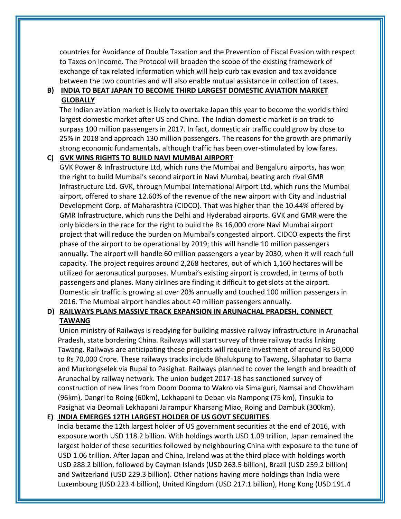countries for Avoidance of Double Taxation and the Prevention of Fiscal Evasion with respect to Taxes on Income. The Protocol will broaden the scope of the existing framework of exchange of tax related information which will help curb tax evasion and tax avoidance between the two countries and will also enable mutual assistance in collection of taxes.

# **B) INDIA TO BEAT JAPAN TO BECOME THIRD LARGEST DOMESTIC AVIATION MARKET GLOBALLY**

The Indian aviation market is likely to overtake Japan this year to become the world's third largest domestic market after US and China. The Indian domestic market is on track to surpass 100 million passengers in 2017. In fact, domestic air traffic could grow by close to 25% in 2018 and approach 130 million passengers. The reasons for the growth are primarily strong economic fundamentals, although traffic has been over-stimulated by low fares.

#### **C) GVK WINS RIGHTS TO BUILD NAVI MUMBAI AIRPORT**

GVK Power & Infrastructure Ltd, which runs the Mumbai and Bengaluru airports, has won the right to build Mumbai's second airport in Navi Mumbai, beating arch rival GMR Infrastructure Ltd. GVK, through Mumbai International Airport Ltd, which runs the Mumbai airport, offered to share 12.60% of the revenue of the new airport with City and Industrial Development Corp. of Maharashtra (CIDCO). That was higher than the 10.44% offered by GMR Infrastructure, which runs the Delhi and Hyderabad airports. GVK and GMR were the only bidders in the race for the right to build the Rs 16,000 crore Navi Mumbai airport project that will reduce the burden on Mumbai's congested airport. CIDCO expects the first phase of the airport to be operational by 2019; this will handle 10 million passengers annually. The airport will handle 60 million passengers a year by 2030, when it will reach full capacity. The project requires around 2,268 hectares, out of which 1,160 hectares will be utilized for aeronautical purposes. Mumbai's existing airport is crowded, in terms of both passengers and planes. Many airlines are finding it difficult to get slots at the airport. Domestic air traffic is growing at over 20% annually and touched 100 million passengers in 2016. The Mumbai airport handles about 40 million passengers annually.

## **D) RAILWAYS PLANS MASSIVE TRACK EXPANSION IN ARUNACHAL PRADESH, CONNECT TAWANG**

Union ministry of Railways is readying for building massive railway infrastructure in Arunachal Pradesh, state bordering China. Railways will start survey of three railway tracks linking Tawang. Railways are anticipating these projects will require investment of around Rs 50,000 to Rs 70,000 Crore. These railways tracks include Bhalukpung to Tawang, Silaphatar to Bama and Murkongselek via Rupai to Pasighat. Railways planned to cover the length and breadth of Arunachal by railway network. The union budget 2017-18 has sanctioned survey of construction of new lines from Doom Dooma to Wakro via Simalguri, Namsai and Chowkham (96km), Dangri to Roing (60km), Lekhapani to Deban via Nampong (75 km), Tinsukia to Pasighat via Deomali Lekhapani Jairampur Kharsang Miao, Roing and Dambuk (300km).

#### **E) INDIA EMERGES 12TH LARGEST HOLDER OF US GOVT SECURITIES**

India became the 12th largest holder of US government securities at the end of 2016, with exposure worth USD 118.2 billion. With holdings worth USD 1.09 trillion, Japan remained the largest holder of these securities followed by neighbouring China with exposure to the tune of USD 1.06 trillion. After Japan and China, Ireland was at the third place with holdings worth USD 288.2 billion, followed by Cayman Islands (USD 263.5 billion), Brazil (USD 259.2 billion) and Switzerland (USD 229.3 billion). Other nations having more holdings than India were Luxembourg (USD 223.4 billion), United Kingdom (USD 217.1 billion), Hong Kong (USD 191.4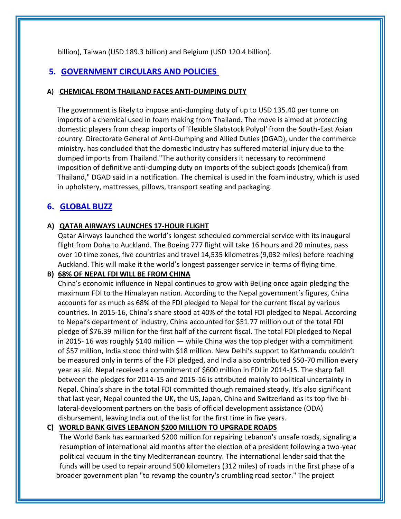billion), Taiwan (USD 189.3 billion) and Belgium (USD 120.4 billion).

# **5. GOVERNMENT CIRCULARS AND POLICIES**

## **A) CHEMICAL FROM THAILAND FACES ANTI-DUMPING DUTY**

The government is likely to impose anti-dumping duty of up to USD 135.40 per tonne on imports of a chemical used in foam making from Thailand. The move is aimed at protecting domestic players from cheap imports of 'Flexible Slabstock Polyol' from the South-East Asian country. Directorate General of Anti-Dumping and Allied Duties (DGAD), under the commerce ministry, has concluded that the domestic industry has suffered material injury due to the dumped imports from Thailand."The authority considers it necessary to recommend imposition of definitive anti-dumping duty on imports of the subject goods (chemical) from Thailand," DGAD said in a notification. The chemical is used in the foam industry, which is used in upholstery, mattresses, pillows, transport seating and packaging.

# **6. GLOBAL BUZZ**

## **A) QATAR AIRWAYS LAUNCHES 17-HOUR FLIGHT**

Qatar Airways launched the world's longest scheduled commercial service with its inaugural flight from Doha to Auckland. The Boeing 777 flight will take 16 hours and 20 minutes, pass over 10 time zones, five countries and travel 14,535 kilometres (9,032 miles) before reaching Auckland. This will make it the world's longest passenger service in terms of flying time.

# **B) 68% OF NEPAL FDI WILL BE FROM CHINA**

China's economic influence in Nepal continues to grow with Beijing once again pledging the maximum FDI to the Himalayan nation. According to the Nepal government's figures, China accounts for as much as 68% of the FDI pledged to Nepal for the current fiscal by various countries. In 2015-16, China's share stood at 40% of the total FDI pledged to Nepal. According to Nepal's department of industry, China accounted for \$51.77 million out of the total FDI pledge of \$76.39 million for the first half of the current fiscal. The total FDI pledged to Nepal in 2015- 16 was roughly \$140 million — while China was the top pledger with a commitment of \$57 million, India stood third with \$18 million. New Delhi's support to Kathmandu couldn't be measured only in terms of the FDI pledged, and India also contributed \$50-70 million every year as aid. Nepal received a commitment of \$600 million in FDI in 2014-15. The sharp fall between the pledges for 2014-15 and 2015-16 is attributed mainly to political uncertainty in Nepal. China's share in the total FDI committed though remained steady. It's also significant that last year, Nepal counted the UK, the US, Japan, China and Switzerland as its top five bilateral-development partners on the basis of official development assistance (ODA) disbursement, leaving India out of the list for the first time in five years.

# **C) WORLD BANK GIVES LEBANON \$200 MILLION TO UPGRADE ROADS**

The World Bank has earmarked \$200 million for repairing Lebanon's unsafe roads, signaling a resumption of international aid months after the election of a president following a two-year political vacuum in the tiny Mediterranean country. The international lender said that the funds will be used to repair around 500 kilometers (312 miles) of roads in the first phase of a broader government plan "to revamp the country's crumbling road sector." The project